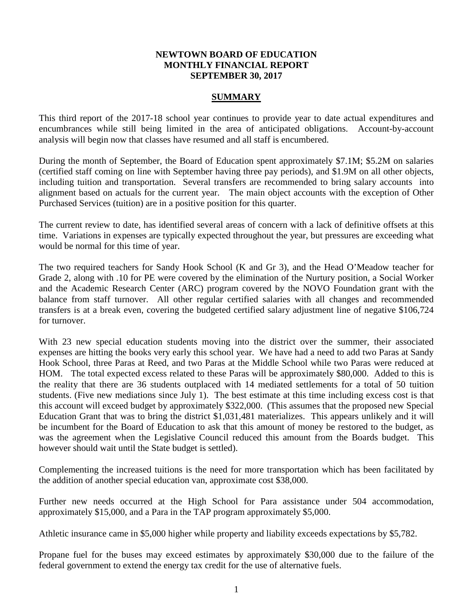## **NEWTOWN BOARD OF EDUCATION MONTHLY FINANCIAL REPORT SEPTEMBER 30, 2017**

## **SUMMARY**

This third report of the 2017-18 school year continues to provide year to date actual expenditures and encumbrances while still being limited in the area of anticipated obligations. Account-by-account analysis will begin now that classes have resumed and all staff is encumbered.

During the month of September, the Board of Education spent approximately \$7.1M; \$5.2M on salaries (certified staff coming on line with September having three pay periods), and \$1.9M on all other objects, including tuition and transportation. Several transfers are recommended to bring salary accounts into alignment based on actuals for the current year. The main object accounts with the exception of Other Purchased Services (tuition) are in a positive position for this quarter.

The current review to date, has identified several areas of concern with a lack of definitive offsets at this time. Variations in expenses are typically expected throughout the year, but pressures are exceeding what would be normal for this time of year.

The two required teachers for Sandy Hook School (K and Gr 3), and the Head O'Meadow teacher for Grade 2, along with .10 for PE were covered by the elimination of the Nurtury position, a Social Worker and the Academic Research Center (ARC) program covered by the NOVO Foundation grant with the balance from staff turnover. All other regular certified salaries with all changes and recommended transfers is at a break even, covering the budgeted certified salary adjustment line of negative \$106,724 for turnover.

With 23 new special education students moving into the district over the summer, their associated expenses are hitting the books very early this school year. We have had a need to add two Paras at Sandy Hook School, three Paras at Reed, and two Paras at the Middle School while two Paras were reduced at HOM. The total expected excess related to these Paras will be approximately \$80,000. Added to this is the reality that there are 36 students outplaced with 14 mediated settlements for a total of 50 tuition students. (Five new mediations since July 1). The best estimate at this time including excess cost is that this account will exceed budget by approximately \$322,000. (This assumes that the proposed new Special Education Grant that was to bring the district \$1,031,481 materializes. This appears unlikely and it will be incumbent for the Board of Education to ask that this amount of money be restored to the budget, as was the agreement when the Legislative Council reduced this amount from the Boards budget. This however should wait until the State budget is settled).

Complementing the increased tuitions is the need for more transportation which has been facilitated by the addition of another special education van, approximate cost \$38,000.

Further new needs occurred at the High School for Para assistance under 504 accommodation, approximately \$15,000, and a Para in the TAP program approximately \$5,000.

Athletic insurance came in \$5,000 higher while property and liability exceeds expectations by \$5,782.

Propane fuel for the buses may exceed estimates by approximately \$30,000 due to the failure of the federal government to extend the energy tax credit for the use of alternative fuels.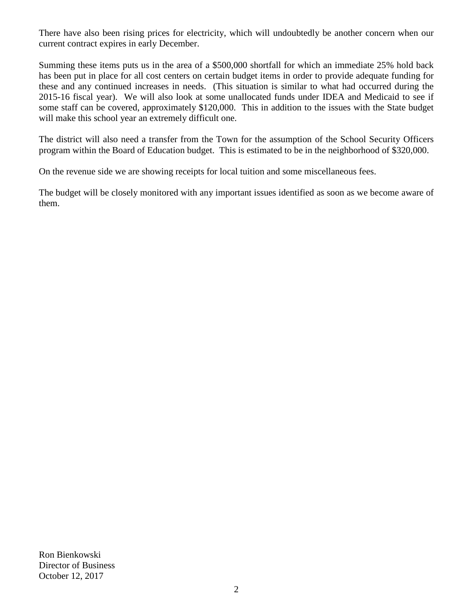There have also been rising prices for electricity, which will undoubtedly be another concern when our current contract expires in early December.

Summing these items puts us in the area of a \$500,000 shortfall for which an immediate 25% hold back has been put in place for all cost centers on certain budget items in order to provide adequate funding for these and any continued increases in needs. (This situation is similar to what had occurred during the 2015-16 fiscal year). We will also look at some unallocated funds under IDEA and Medicaid to see if some staff can be covered, approximately \$120,000. This in addition to the issues with the State budget will make this school year an extremely difficult one.

The district will also need a transfer from the Town for the assumption of the School Security Officers program within the Board of Education budget. This is estimated to be in the neighborhood of \$320,000.

On the revenue side we are showing receipts for local tuition and some miscellaneous fees.

The budget will be closely monitored with any important issues identified as soon as we become aware of them.

Ron Bienkowski Director of Business October 12, 2017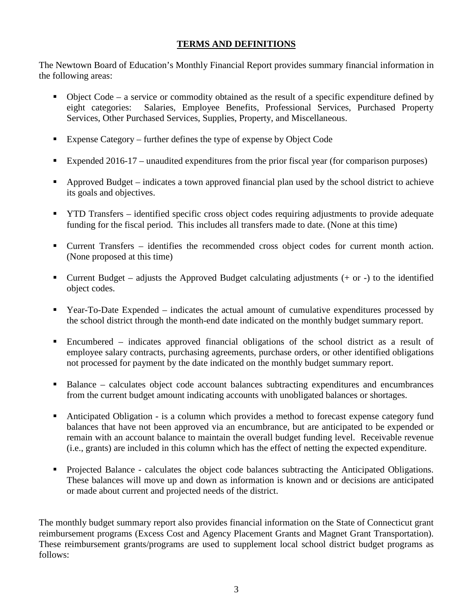# **TERMS AND DEFINITIONS**

The Newtown Board of Education's Monthly Financial Report provides summary financial information in the following areas:

- Object Code a service or commodity obtained as the result of a specific expenditure defined by eight categories: Salaries, Employee Benefits, Professional Services, Purchased Property Services, Other Purchased Services, Supplies, Property, and Miscellaneous.
- Expense Category further defines the type of expense by Object Code
- Expended 2016-17 unaudited expenditures from the prior fiscal year (for comparison purposes)
- Approved Budget indicates a town approved financial plan used by the school district to achieve its goals and objectives.
- **THE TRANSFER** identified specific cross object codes requiring adjustments to provide adequate funding for the fiscal period. This includes all transfers made to date. (None at this time)
- Current Transfers identifies the recommended cross object codes for current month action. (None proposed at this time)
- Current Budget adjusts the Approved Budget calculating adjustments  $(+)$  or  $-)$  to the identified object codes.
- Year-To-Date Expended indicates the actual amount of cumulative expenditures processed by the school district through the month-end date indicated on the monthly budget summary report.
- Encumbered indicates approved financial obligations of the school district as a result of employee salary contracts, purchasing agreements, purchase orders, or other identified obligations not processed for payment by the date indicated on the monthly budget summary report.
- Balance calculates object code account balances subtracting expenditures and encumbrances from the current budget amount indicating accounts with unobligated balances or shortages.
- Anticipated Obligation is a column which provides a method to forecast expense category fund balances that have not been approved via an encumbrance, but are anticipated to be expended or remain with an account balance to maintain the overall budget funding level. Receivable revenue (i.e., grants) are included in this column which has the effect of netting the expected expenditure.
- Projected Balance calculates the object code balances subtracting the Anticipated Obligations. These balances will move up and down as information is known and or decisions are anticipated or made about current and projected needs of the district.

The monthly budget summary report also provides financial information on the State of Connecticut grant reimbursement programs (Excess Cost and Agency Placement Grants and Magnet Grant Transportation). These reimbursement grants/programs are used to supplement local school district budget programs as follows: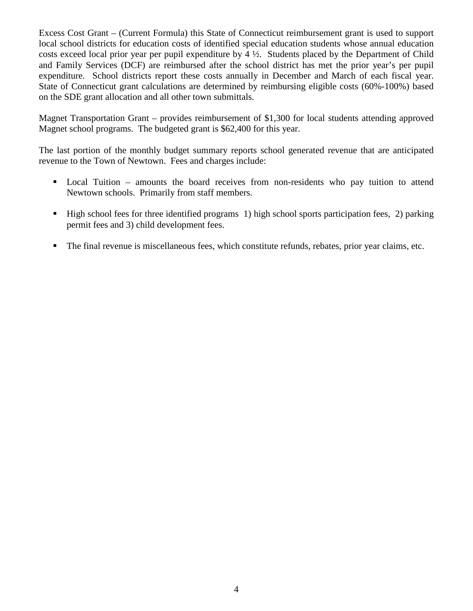Excess Cost Grant – (Current Formula) this State of Connecticut reimbursement grant is used to support local school districts for education costs of identified special education students whose annual education costs exceed local prior year per pupil expenditure by 4 ½. Students placed by the Department of Child and Family Services (DCF) are reimbursed after the school district has met the prior year's per pupil expenditure. School districts report these costs annually in December and March of each fiscal year. State of Connecticut grant calculations are determined by reimbursing eligible costs (60%-100%) based on the SDE grant allocation and all other town submittals.

Magnet Transportation Grant – provides reimbursement of \$1,300 for local students attending approved Magnet school programs. The budgeted grant is \$62,400 for this year.

The last portion of the monthly budget summary reports school generated revenue that are anticipated revenue to the Town of Newtown. Fees and charges include:

- Local Tuition amounts the board receives from non-residents who pay tuition to attend Newtown schools. Primarily from staff members.
- High school fees for three identified programs 1) high school sports participation fees, 2) parking permit fees and 3) child development fees.
- The final revenue is miscellaneous fees, which constitute refunds, rebates, prior year claims, etc.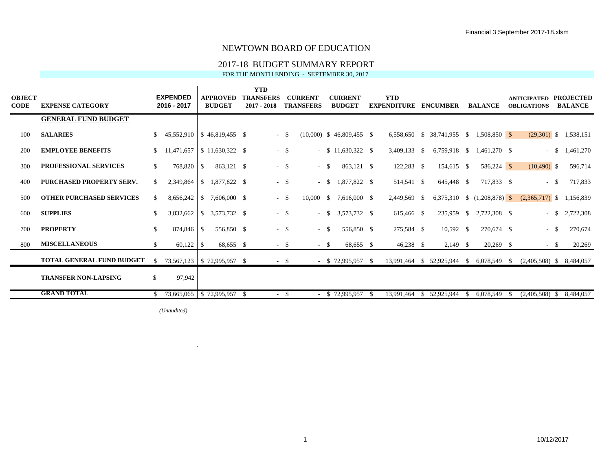## 2017-18 BUDGET SUMMARY REPORT

FOR THE MONTH ENDING - SEPTEMBER 30, 2017

| OBJECT<br>CODE | <b>EXPENSE CATEGORY</b>          |               | <b>EXPENDED</b><br>2016 - 2017    |                          | APPROVED<br><b>BUDGET</b> | <b>YTD</b><br><b>TRANSFERS</b><br>$2017 - 2018$ |        | <b>CURRENT</b><br><b>TRANSFERS</b> |          | <b>CURRENT</b><br><b>BUDGET</b> |    | <b>YTD</b><br><b>EXPENDITURE</b> | <b>ENCUMBER</b>                |    | <b>BALANCE</b>                |   | <b>ANTICIPATED</b><br><b>OBLIGATIONS</b> |     | <b>PROJECTED</b><br><b>BALANCE</b> |
|----------------|----------------------------------|---------------|-----------------------------------|--------------------------|---------------------------|-------------------------------------------------|--------|------------------------------------|----------|---------------------------------|----|----------------------------------|--------------------------------|----|-------------------------------|---|------------------------------------------|-----|------------------------------------|
|                | <b>GENERAL FUND BUDGET</b>       |               |                                   |                          |                           |                                                 |        |                                    |          |                                 |    |                                  |                                |    |                               |   |                                          |     |                                    |
| 100            | <b>SALARIES</b>                  |               | $45,552,910$ \ \$ 46,819,455 \ \$ |                          |                           |                                                 | $-$ \$ |                                    |          | $(10,000)$ \$ 46,809,455 \$     |    |                                  | 6,558,650 \$ 38,741,955 \$     |    | 1.508.850 \$                  |   |                                          |     | $(29,301)$ \$ 1,538,151            |
| 200            | <b>EMPLOYEE BENEFITS</b>         | S.            | 11,471,657                        |                          | $$11,630,322$ \\$         |                                                 | $-$ \$ |                                    |          | $-$ \$ 11,630,322 \$            |    | 3,409,133 \$                     | 6,759,918 \$                   |    | 1,461,270 \$                  |   | $-$ \$                                   |     | 1,461,270                          |
| 300            | <b>PROFESSIONAL SERVICES</b>     | \$            | 768,820 \$                        |                          | 863,121 \$                |                                                 | $-$ \$ | $-$ \$                             |          | 863,121 \$                      |    | 122,283 \$                       | 154,615 \$                     |    | 586,224 \$                    |   | $(10,490)$ \$                            |     | 596,714                            |
| 400            | <b>PURCHASED PROPERTY SERV.</b>  |               | 2,349,864                         | $\overline{\phantom{a}}$ | 1.877.822 \$              |                                                 | $-$ \$ | $\sim$                             | - S      | 1,877,822 \$                    |    | 514,541 \$                       | 645,448 \$                     |    | 717,833 \$                    |   | $-$ \$                                   |     | 717,833                            |
| 500            | <b>OTHER PURCHASED SERVICES</b>  | S.            |                                   |                          | 7,606,000 \$              |                                                 | $-$ \$ | 10,000                             | <b>S</b> | 7,616,000 \$                    |    | 2,449,569 \$                     |                                |    | 6,375,310 \$ $(1,208,878)$ \$ |   | $(2,365,717)$ \$                         |     | 1.156.839                          |
| 600            | <b>SUPPLIES</b>                  | \$.           | 3,832,662                         | $\sqrt{1}$               | 3,573,732 \$              |                                                 | $- S$  | ۰.                                 |          | $$3,573,732$ \$                 |    | 615,466 \$                       | 235,959 \$                     |    | 2,722,308 \$                  |   | $-$ \$                                   |     | 2,722,308                          |
| 700            | <b>PROPERTY</b>                  | \$            | 874,846 \$                        |                          | 556,850 \$                |                                                 | $-$ \$ | $\sim$                             | - \$     | 556,850 \$                      |    | 275,584 \$                       | $10,592$ \$                    |    | 270,674 \$                    |   | $-$ \$                                   |     | 270,674                            |
| 800            | <b>MISCELLANEOUS</b>             | \$            |                                   |                          | 68,655 \$                 |                                                 | $-$ \$ | $-$ \$                             |          | 68,655 \$                       |    | $46,238$ \$                      | $2,149$ \$                     |    | $20,269$ \$                   |   | $-$ \$                                   |     | 20,269                             |
|                | <b>TOTAL GENERAL FUND BUDGET</b> | <sup>\$</sup> | 73,567,123   \$72,995,957 \$      |                          |                           |                                                 | $-$ \$ |                                    |          | $-$ \$ 72,995,957 \$            |    | 13,991,464                       | $$52,925,944$ $$6,078,549$ $$$ |    |                               |   | $(2,405,508)$ \$ 8,484,057               |     |                                    |
|                | <b>TRANSFER NON-LAPSING</b>      | S.            | 97,942                            |                          |                           |                                                 |        |                                    |          |                                 |    |                                  |                                |    |                               |   |                                          |     |                                    |
|                | <b>GRAND TOTAL</b>               |               | 73,665,065 \$72,995,957 \$        |                          |                           |                                                 | $- S$  |                                    |          | \$72,995,957                    | -S | 13,991,464                       | \$52,925,944                   | -S | 6,078,549                     | S | (2,405,508)                              | -SI | 8,484,057                          |

 $(Unaudited)$ 

 $\mathbf{r}$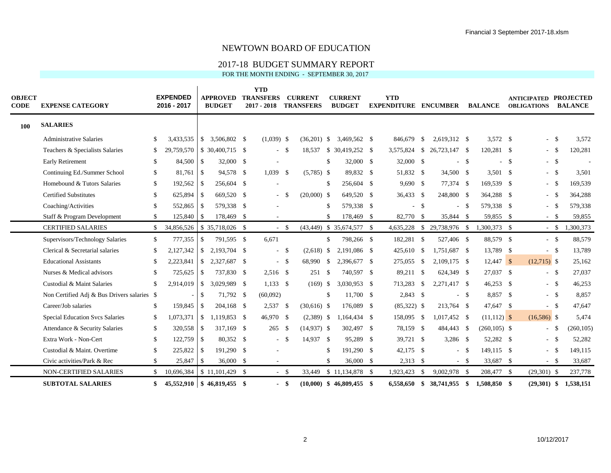### 2017-18 BUDGET SUMMARY REPORT

FOR THE MONTH ENDING - SEPTEMBER 30, 2017

| <b>OBJECT</b><br><b>CODE</b> | <b>EXPENSE CATEGORY</b>                     |               | <b>EXPENDED</b><br>2016 - 2017 |               | <b>APPROVED</b><br><b>BUDGET</b> | <b>YTD</b><br><b>TRANSFERS</b><br>$2017 - 2018$ |                    | <b>CURRENT</b><br><b>TRANSFERS</b> |     | <b>CURRENT</b><br><b>BUDGET</b> | <b>YTD</b><br><b>EXPENDITURE ENCUMBER</b> |        |                            |        | <b>BALANCE</b>  |        | <b>ANTICIPATED</b><br><b>OBLIGATIONS</b> | <b>PROJECTED</b><br><b>BALANCE</b> |
|------------------------------|---------------------------------------------|---------------|--------------------------------|---------------|----------------------------------|-------------------------------------------------|--------------------|------------------------------------|-----|---------------------------------|-------------------------------------------|--------|----------------------------|--------|-----------------|--------|------------------------------------------|------------------------------------|
| 100                          | <b>SALARIES</b>                             |               |                                |               |                                  |                                                 |                    |                                    |     |                                 |                                           |        |                            |        |                 |        |                                          |                                    |
|                              | <b>Administrative Salaries</b>              | -S            | 3,433,535                      |               | $$3,506,802$ \\$                 | $(1,039)$ \$                                    |                    | $(36,201)$ \$                      |     | 3,469,562 \$                    | 846,679                                   | - \$   | 2,619,312 \$               |        | $3,572$ \$      |        | - \$                                     | 3,572                              |
|                              | Teachers & Specialists Salaries             | \$            | 29,759,570                     |               | $$30,400,715$ \ \$               | $\sim$                                          | - \$               | 18,537                             |     | $$30,419,252$ \ \$              | 3,575,824 \$                              |        | 26,723,147 \$              |        | 120,281 \$      |        | - \$                                     | 120,281                            |
|                              | Early Retirement                            | <sup>\$</sup> | 84,500                         | $\sqrt{S}$    | 32,000 \$                        |                                                 |                    |                                    |     | 32,000 \$                       | 32,000 \$                                 |        | $\overline{a}$             | - \$   |                 | $-$ \$ | $-$ \$                                   |                                    |
|                              | Continuing Ed./Summer School                | \$            | $81,761$ \$                    |               | 94,578 \$                        | 1,039                                           | - \$               | $(5,785)$ \$                       |     | 89,832 \$                       | 51,832 \$                                 |        | 34,500 \$                  |        | 3,501 \$        |        | $-$ \$                                   | 3,501                              |
|                              | Homebound & Tutors Salaries                 | <sup>\$</sup> | 192,562                        | $\sqrt{3}$    | 256,604 \$                       |                                                 |                    |                                    | \$. | 256,604 \$                      | $9,690$ \$                                |        | 77,374 \$                  |        | 169,539 \$      |        | $-$ \$                                   | 169,539                            |
|                              | <b>Certified Substitutes</b>                | <sup>\$</sup> | 625,894                        | $\sqrt{S}$    | 669,520 \$                       |                                                 | -S                 | $(20,000)$ \$                      |     | 649,520 \$                      | 36,433 \$                                 |        | 248,800 \$                 |        | 364,288 \$      |        | - \$                                     | 364,288                            |
|                              | Coaching/Activities                         | <sup>\$</sup> | 552,865                        | <sup>\$</sup> | 579,338 \$                       |                                                 |                    |                                    |     | 579,338 \$                      |                                           | $-$ \$ | ÷.                         | - \$   | 579,338 \$      |        | - \$                                     | 579,338                            |
|                              | Staff & Program Development                 | \$            | 125,840                        | \$            | 178,469                          | \$                                              |                    |                                    | \$. | 178,469 \$                      | 82,770                                    | - \$   | 35,844 \$                  |        | 59,855 \$       |        | $-$ \$                                   | 59,855                             |
|                              | <b>CERTIFIED SALARIES</b>                   | \$            | 34,856,526                     |               | \$35,718,026 \$                  |                                                 | $-$ \$             |                                    |     | $(43,449)$ \$ 35,674,577 \$     | 4,635,228                                 |        | $$29,738,976$ \;           |        | 1,300,373 \$    |        |                                          | $-$ \$ 1,300,373                   |
|                              | Supervisors/Technology Salaries             | <sup>\$</sup> | 777,355                        | $\mathbb{S}$  | 791,595 \$                       | 6,671                                           |                    |                                    | \$  | 798,266 \$                      | 182,281 \$                                |        | 527,406 \$                 |        | 88,579 \$       |        | $-$ \$                                   | 88,579                             |
|                              | Clerical & Secretarial salaries             | <sup>\$</sup> |                                |               | 2,193,704 \$                     |                                                 | - \$               | $(2,618)$ \$                       |     | 2,191,086 \$                    | 425,610 \$                                |        | 1,751,687 \$               |        | 13,789 \$       |        | $-$ \$                                   | 13,789                             |
|                              | <b>Educational Assistants</b>               | <sup>\$</sup> | 2,223,841                      | $\mathbb{S}$  | 2,327,687 \$                     |                                                 | $-$ \$             | 68,990 \$                          |     | 2,396,677 \$                    | 275,055                                   | - \$   | 2,109,175 \$               |        | $12,447$ \$     |        | $(12,715)$ \$                            | 25,162                             |
|                              | Nurses & Medical advisors                   | -S            | 725,625                        | $\mathbb{S}$  | 737,830 \$                       | $2,516$ \$                                      |                    | 251S                               |     | 740,597 \$                      | 89,211 \$                                 |        | 624,349 \$                 |        | 27,037 \$       |        | $-$ \$                                   | 27,037                             |
|                              | Custodial & Maint Salaries                  | <sup>\$</sup> | 2,914,019                      | $\mathcal{S}$ | 3,029,989 \$                     | $1,133$ \$                                      |                    | $(169)$ \$                         |     | 3,030,953 \$                    | 713,283                                   | -S     | 2,271,417 \$               |        | $46,253$ \$     |        | $-$ \$                                   | 46,253                             |
|                              | Non Certified Adj & Bus Drivers salaries \$ |               |                                | $\mathbb{S}$  | 71,792 \$                        | (60,092)                                        |                    |                                    | \$. | 11,700 \$                       | $2,843$ \$                                |        |                            | $-$ \$ | 8,857 \$        |        | $-$ \$                                   | 8,857                              |
|                              | Career/Job salaries                         | <sup>\$</sup> | 159,845                        | $\mathbb{S}$  | 204.168 \$                       | 2,537                                           | $\mathbf{\hat{s}}$ | $(30,616)$ \$                      |     | 176,089 \$                      | $(85,322)$ \$                             |        | 213,764 \$                 |        | 47,647 \$       |        | $-$ \$                                   | 47,647                             |
|                              | Special Education Svcs Salaries             | <sup>\$</sup> |                                |               | $1,073,371$ \$ $1,119,853$ \$    | 46,970 \$                                       |                    | $(2,389)$ \$                       |     | 1,164,434 \$                    | 158,095 \$                                |        | 1,017,452 \$               |        | $(11,112)$ \$   |        | $(16,586)$ \$                            | 5,474                              |
|                              | Attendance & Security Salaries              | \$            | 320,558 \$                     |               | 317,169 \$                       | 265                                             | - \$               | $(14,937)$ \$                      |     | 302,497 \$                      | 78,159 \$                                 |        | 484,443 \$                 |        | $(260, 105)$ \$ |        | $-$ \$                                   | (260, 105)                         |
|                              | Extra Work - Non-Cert                       | \$            | 122,759 \$                     |               | 80,352 \$                        | $\sim$                                          | - \$               | 14,937 \$                          |     | 95,289 \$                       | 39,721 \$                                 |        | $3,286$ \$                 |        | 52,282 \$       |        | $-$ \$                                   | 52,282                             |
|                              | Custodial & Maint. Overtime                 | <sup>\$</sup> | 225,822 \$                     |               | 191,290 \$                       |                                                 |                    |                                    | £.  | 191,290 \$                      | 42,175 \$                                 |        | ÷.                         | - \$   | 149,115 \$      |        | - \$                                     | 149,115                            |
|                              | Civic activities/Park & Rec                 | <sup>\$</sup> | 25,847 \$                      |               | 36,000 \$                        | $\overline{\phantom{a}}$                        |                    |                                    | \$. | 36,000 \$                       | $2,313$ \$                                |        |                            | $-$ \$ | 33,687 \$       |        | $-$ \$                                   | 33,687                             |
|                              | NON-CERTIFIED SALARIES                      | S.            | 10,696,384                     |               | $$11,101,429$ \ \$               |                                                 | $-$ \$             |                                    |     | 33,449 \$ 11,134,878 \$         | 1,923,423                                 | - \$   | 9,002,978 \$               |        | 208,477 \$      |        | $(29,301)$ \$                            | 237,778                            |
|                              | <b>SUBTOTAL SALARIES</b>                    | \$            |                                |               | 45,552,910 \$46,819,455 \$       |                                                 | - \$               |                                    |     | $(10,000)$ \$ 46,809,455 \$     |                                           |        | 6,558,650 \$ 38,741,955 \$ |        | 1,508,850 \$    |        | $(29,301)$ \$                            | 1,538,151                          |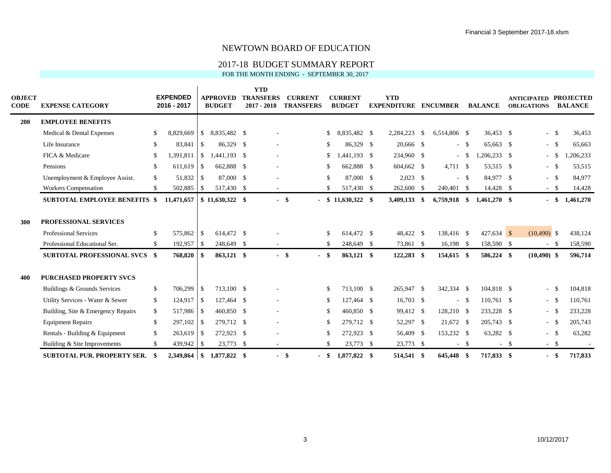### 2017-18 BUDGET SUMMARY REPORT

FOR THE MONTH ENDING - SEPTEMBER 30, 2017

| OBJECT<br>CODE | <b>EXPENSE CATEGORY</b>              |               | <b>EXPENDED</b><br>2016 - 2017 |                          | <b>APPROVED</b><br><b>BUDGET</b> | <b>YTD</b><br><b>TRANSFERS</b><br>$2017 - 2018$ |        | <b>CURRENT</b><br><b>TRANSFERS</b> |               | <b>CURRENT</b><br><b>BUDGET</b> |     | <b>YTD</b><br><b>EXPENDITURE</b> |      | <b>ENCUMBER</b> |      | <b>BALANCE</b> |        | <b>ANTICIPATED</b><br><b>OBLIGATIONS</b> | <b>PROJECTED</b><br><b>BALANCE</b> |
|----------------|--------------------------------------|---------------|--------------------------------|--------------------------|----------------------------------|-------------------------------------------------|--------|------------------------------------|---------------|---------------------------------|-----|----------------------------------|------|-----------------|------|----------------|--------|------------------------------------------|------------------------------------|
| <b>200</b>     | <b>EMPLOYEE BENEFITS</b>             |               |                                |                          |                                  |                                                 |        |                                    |               |                                 |     |                                  |      |                 |      |                |        |                                          |                                    |
|                | Medical & Dental Expenses            | \$            | 8,829,669                      | $\mathbb{S}$             | 8,835,482 \$                     |                                                 |        |                                    | <sup>\$</sup> | 8,835,482 \$                    |     | 2,284,223                        | - \$ | 6,514,806 \$    |      | 36,453 \$      |        | $-$ \$                                   | 36,453                             |
|                | Life Insurance                       | -S            | 83,841                         | <sup>\$</sup>            | 86,329 \$                        |                                                 |        |                                    | \$            | 86.329 \$                       |     | 20,666 \$                        |      | $- S$           |      | 65,663 \$      |        | $-$ \$                                   | 65,663                             |
|                | FICA & Medicare                      | <sup>\$</sup> | 1,391,811                      | \$                       | 1,441,193 \$                     |                                                 |        |                                    | \$            | 1.441.193 \$                    |     | 234,960 \$                       |      | $\sim$          | - \$ | $1,206,233$ \$ |        | $-$ \$                                   | ,206,233                           |
|                | Pensions                             | <sup>\$</sup> | 611,619                        | $\overline{\phantom{a}}$ | 662,888 \$                       |                                                 |        |                                    | S             | 662,888 \$                      |     | 604,662 \$                       |      | 4,711 \$        |      | 53,515 \$      |        | $-$ \$                                   | 53,515                             |
|                | Unemployment & Employee Assist.      | \$            |                                |                          | 87,000 \$                        |                                                 |        |                                    | <sup>\$</sup> | 87,000 \$                       |     | $2,023$ \$                       |      |                 | - \$ | 84,977 \$      |        | $-$ \$                                   | 84,977                             |
|                | <b>Workers Compensation</b>          | <sup>\$</sup> | 502,885                        | $\overline{1}$           | 517,430 \$                       |                                                 |        |                                    | \$.           | 517,430                         | -S  | 262,600 \$                       |      | 240,401 \$      |      | 14,428 \$      |        | $- S$                                    | 14,428                             |
|                | <b>SUBTOTAL EMPLOYEE BENEFITS \$</b> |               | 11,471,657                     |                          | $\frac{1}{2}$ \$ 11,630,322 \$   |                                                 | $-$ \$ |                                    |               | $$11,630,322$ \$                |     | 3,409,133 \$                     |      | $6,759,918$ \$  |      | $1,461,270$ \$ |        | - \$                                     | 1,461,270                          |
| 300            | <b>PROFESSIONAL SERVICES</b>         |               |                                |                          |                                  |                                                 |        |                                    |               |                                 |     |                                  |      |                 |      |                |        |                                          |                                    |
|                | <b>Professional Services</b>         | -S            | 575,862                        | $\overline{1}$           | 614,472 \$                       |                                                 |        |                                    | <sup>\$</sup> | 614.472 \$                      |     | 48,422 \$                        |      | 138,416 \$      |      | $427,634$ \$   |        | $(10,490)$ \$                            | 438,124                            |
|                | Professional Educational Ser.        | \$            | 192,957                        | $\overline{1}$           | 248,649 \$                       |                                                 |        |                                    | -S            | 248,649 \$                      |     | 73,861 \$                        |      | $16,198$ \$     |      | 158,590 \$     |        | $- S$                                    | 158,590                            |
|                | <b>SUBTOTAL PROFESSIONAL SVCS \$</b> |               | 768,820                        |                          | 863,121 \$                       |                                                 | $-$ \$ | -                                  | \$            | 863,121 \$                      |     | 122,283 \$                       |      | 154,615 \$      |      | 586,224 \$     |        | $(10, 490)$ \$                           | 596,714                            |
| 400            | <b>PURCHASED PROPERTY SVCS</b>       |               |                                |                          |                                  |                                                 |        |                                    |               |                                 |     |                                  |      |                 |      |                |        |                                          |                                    |
|                | Buildings & Grounds Services         | S.            | 706,299 \$                     |                          | 713,100 \$                       |                                                 |        |                                    | <sup>\$</sup> | 713,100 \$                      |     | 265,947 \$                       |      | 342,334 \$      |      | 104,818 \$     |        | $-$ \$                                   | 104,818                            |
|                | Utility Services - Water & Sewer     | \$            | $124,917$ \$                   |                          | 127.464 \$                       |                                                 |        |                                    | <sup>\$</sup> | 127,464 \$                      |     | $16,703$ \$                      |      | $\sim$          | - \$ | 110.761 \$     |        | $-$ \$                                   | 110,761                            |
|                | Building, Site & Emergency Repairs   | \$            | 517,986 \$                     |                          | 460,850 \$                       |                                                 |        |                                    | \$            | 460,850 \$                      |     | 99,412 \$                        |      | 128,210 \$      |      | 233,228 \$     |        |                                          | 233,228                            |
|                | <b>Equipment Repairs</b>             | \$            | $297,102$ \$                   |                          | 279,712 \$                       |                                                 |        |                                    | <sup>\$</sup> | 279.712 \$                      |     | 52,297 \$                        |      | 21,672 \$       |      | 205,743 \$     |        | $-$ \$                                   | 205,743                            |
|                | Rentals - Building & Equipment       | \$            | $263,619$ \$                   |                          | 272,923 \$                       |                                                 |        |                                    | <sup>\$</sup> | 272,923 \$                      |     | 56,409 \$                        |      | 153,232 \$      |      | 63,282 \$      |        | $-$ \$                                   | 63,282                             |
|                | Building & Site Improvements         | \$            | $439,942$ \$                   |                          | 23,773 \$                        | $\sim$                                          |        |                                    | <sup>\$</sup> | 23,773 \$                       |     | 23,773 \$                        |      | $\sim$          | - \$ |                | $-$ \$ | $-$ \$                                   | $\sim$                             |
|                | <b>SUBTOTAL PUR. PROPERTY SER.</b>   |               | 2.349.864                      | $\blacksquare$           | 1,877,822 \$                     |                                                 | - \$   | $\overline{\phantom{0}}$           | <sup>\$</sup> | 1,877,822                       | -\$ | 514,541 \$                       |      | 645,448         | - \$ | 717,833 \$     |        | - \$                                     | 717,833                            |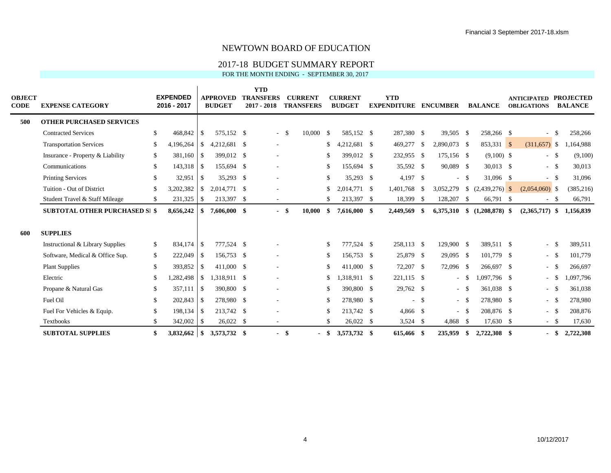## 2017-18 BUDGET SUMMARY REPORT

FOR THE MONTH ENDING - SEPTEMBER 30, 2017

| <b>OBJECT</b><br><b>CODE</b> | <b>EXPENSE CATEGORY</b>               |               | <b>EXPENDED</b><br>2016 - 2017 |               | <b>APPROVED</b><br><b>BUDGET</b> | <b>YTD</b><br><b>TRANSFERS</b><br>$2017 - 2018$ |      | <b>CURRENT</b><br><b>TRANSFERS</b> |     | <b>CURRENT</b><br><b>BUDGET</b> | <b>YTD</b><br><b>EXPENDITURE</b> |        | <b>ENCUMBER</b> |      | <b>BALANCE</b>                  | <b>ANTICIPATED</b><br><b>OBLIGATIONS</b> |      | <b>PROJECTED</b><br><b>BALANCE</b> |
|------------------------------|---------------------------------------|---------------|--------------------------------|---------------|----------------------------------|-------------------------------------------------|------|------------------------------------|-----|---------------------------------|----------------------------------|--------|-----------------|------|---------------------------------|------------------------------------------|------|------------------------------------|
| 500                          | <b>OTHER PURCHASED SERVICES</b>       |               |                                |               |                                  |                                                 |      |                                    |     |                                 |                                  |        |                 |      |                                 |                                          |      |                                    |
|                              | <b>Contracted Services</b>            | \$            | 468,842                        | -S            | 575,152 \$                       | $\sim$                                          | - \$ | $10,000 \quad$ \$                  |     | 585,152 \$                      | 287,380 \$                       |        | 39,505 \$       |      | 258,266 \$                      |                                          |      | 258,266                            |
|                              | <b>Transportation Services</b>        | -S            | 4,196,264                      | <sup>\$</sup> | 4,212,681 \$                     | $\overline{\phantom{a}}$                        |      |                                    |     | 4,212,681 \$                    | 469,277                          | \$     | 2,890,073 \$    |      | 853,331 \$                      | $(311,657)$ \$                           |      | .,164,988                          |
|                              | Insurance - Property & Liability      | -S            | 381,160                        | \$            | 399,012 \$                       | $\overline{\phantom{a}}$                        |      |                                    | S.  | 399,012 \$                      | 232,955 \$                       |        | 175,156 \$      |      | $(9,100)$ \$                    | $-$ \$                                   |      | (9,100)                            |
|                              | Communications                        | \$            | 143,318 \$                     |               | 155,694 \$                       | $\overline{\phantom{a}}$                        |      |                                    |     | 155,694 \$                      | 35,592 \$                        |        | 90,089 \$       |      | 30,013 \$                       | $- S$                                    |      | 30,013                             |
|                              | <b>Printing Services</b>              | <sup>\$</sup> | 32,951                         | -\$           | 35,293 \$                        | $\overline{\phantom{a}}$                        |      |                                    |     | 35,293 \$                       | $4,197$ \$                       |        | ÷.              | - \$ | 31,096 \$                       | $- S$                                    |      | 31,096                             |
|                              | Tuition - Out of District             | <sup>\$</sup> | 3,202,382                      | $\mathcal{S}$ | 2.014.771 \$                     |                                                 |      |                                    |     | 2,014,771 \$                    | 1,401,768                        | -\$    | 3,052,279       |      | $\frac{1}{2}$ (2,439,276) \\$   | $(2,054,060)$ \$                         |      | (385, 216)                         |
|                              | Student Travel & Staff Mileage        | -S            | 231,325                        | \$            | 213,397 \$                       | $\overline{\phantom{a}}$                        |      |                                    |     | 213,397 \$                      | 18,399 \$                        |        | 128,207 \$      |      | 66,791 \$                       | $-$ \$                                   |      | 66,791                             |
|                              | <b>SUBTOTAL OTHER PURCHASED SI \$</b> |               | 8,656,242                      | \$            | 7,606,000 \$                     |                                                 | - \$ | 10,000                             | -SS | 7,616,000 \$                    | 2,449,569                        | -S     |                 |      | $6,375,310$ \$ $(1,208,878)$ \$ | $(2,365,717)$ \$                         |      | 1,156,839                          |
| 600                          | <b>SUPPLIES</b>                       |               |                                |               |                                  |                                                 |      |                                    |     |                                 |                                  |        |                 |      |                                 |                                          |      |                                    |
|                              | Instructional & Library Supplies      | <sup>S</sup>  | 834,174                        | S             | 777,524 \$                       |                                                 |      |                                    | \$. | 777,524 \$                      | 258,113 \$                       |        | 129,900 \$      |      | 389,511 \$                      | $-$ \$                                   |      | 389,511                            |
|                              | Software, Medical & Office Sup.       | \$            | 222,049 \$                     |               | 156,753 \$                       | $\overline{\phantom{a}}$                        |      |                                    |     | 156,753 \$                      | 25,879 \$                        |        | 29,095 \$       |      | 101,779 \$                      | $-$ \$                                   |      | 101,779                            |
|                              | <b>Plant Supplies</b>                 | \$            | 393,852                        | \$            | 411,000 \$                       | $\overline{\phantom{a}}$                        |      |                                    | S.  | 411,000 \$                      | 72,207 \$                        |        | 72,096 \$       |      | 266,697 \$                      | $-$ \$                                   |      | 266,697                            |
|                              | Electric                              | -S            | 1,282,498                      | \$            | 1,318,911 \$                     |                                                 |      |                                    |     | 318,911 \$                      | 221,115 \$                       |        | ÷               | - \$ | 1,097,796 \$                    | $- S$                                    |      | 1,097,796                          |
|                              | Propane & Natural Gas                 | -S            | $357,111$ \$                   |               | 390,800 \$                       | $\overline{\phantom{a}}$                        |      |                                    |     | 390,800 \$                      | 29,762 \$                        |        | $\sim$          | - \$ | 361,038 \$                      | $-$ \$                                   |      | 361,038                            |
|                              | Fuel Oil                              | -S            | 202,843                        | \$            | 278,980 \$                       | $\overline{\phantom{a}}$                        |      |                                    | -S  | 278,980 \$                      |                                  | $-$ \$ | $\sim$          | - \$ | 278,980 \$                      | $-$ \$                                   |      | 278,980                            |
|                              | Fuel For Vehicles & Equip.            | <sup>\$</sup> | 198,134 \$                     |               | 213,742 \$                       |                                                 |      |                                    |     | 213,742 \$                      | 4,866 \$                         |        |                 | - \$ | 208,876 \$                      | $- S$                                    |      | 208,876                            |
|                              | <b>Textbooks</b>                      | S.            | 342,002                        | \$            | $26,022$ \$                      | $\overline{\phantom{a}}$                        |      |                                    | -S  | $26,022$ \$                     | $3,524$ \$                       |        | 4,868 \$        |      | $17,630$ \$                     | $-$ \$                                   |      | 17,630                             |
|                              | <b>SUBTOTAL SUPPLIES</b>              | \$            | 3,832,662                      |               | $\frac{1}{2}$ \$ 3,573,732 \$    |                                                 | - \$ | - \$                               |     | 3,573,732 \$                    | 615,466 \$                       |        | 235,959         | - \$ | 2,722,308 \$                    |                                          | - \$ | 2,722,308                          |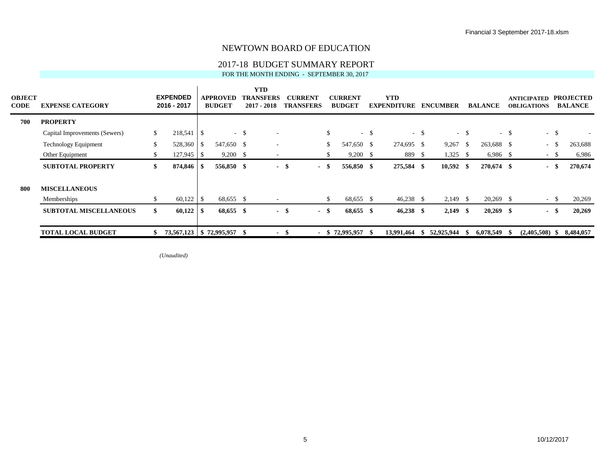### 2017-18 BUDGET SUMMARY REPORT

FOR THE MONTH ENDING - SEPTEMBER 30, 2017

| <b>OBJECT</b><br><b>CODE</b> | <b>EXPENSE CATEGORY</b>       |    | <b>EXPENDED</b><br>2016 - 2017 |      | <b>APPROVED</b><br><b>BUDGET</b> |        | <b>YTD</b><br><b>TRANSFERS</b><br>2017 - 2018 |      | <b>CURRENT</b><br><b>TRANSFERS</b> |     | <b>CURRENT</b><br><b>BUDGET</b> |        | <b>YTD</b><br><b>EXPENDITURE</b> |        | <b>ENCUMBER</b> |        | <b>BALANCE</b> |        | <b>ANTICIPATED</b><br><b>OBLIGATIONS</b> | <b>PROJECTED</b><br><b>BALANCE</b> |
|------------------------------|-------------------------------|----|--------------------------------|------|----------------------------------|--------|-----------------------------------------------|------|------------------------------------|-----|---------------------------------|--------|----------------------------------|--------|-----------------|--------|----------------|--------|------------------------------------------|------------------------------------|
| 700                          | <b>PROPERTY</b>               |    |                                |      |                                  |        |                                               |      |                                    |     |                                 |        |                                  |        |                 |        |                |        |                                          |                                    |
|                              | Capital Improvements (Sewers) | \$ | 218,541 \$                     |      |                                  | $-$ \$ | $\overline{\phantom{a}}$                      |      |                                    | \$  |                                 | $-$ \$ |                                  | $-$ \$ |                 | $-$ \$ |                | $-$ \$ | $-$ \$                                   |                                    |
|                              | <b>Technology Equipment</b>   | \$ | 528,360                        | - \$ | 547,650 \$                       |        | $\overline{\phantom{a}}$                      |      |                                    | \$. | 547,650 \$                      |        | 274,695 \$                       |        | 9,267           | - \$   | 263,688 \$     |        | $-$ \$                                   | 263,688                            |
|                              | Other Equipment               | \$ | $127,945$ \$                   |      | $9,200$ \$                       |        | $\overline{\phantom{a}}$                      |      |                                    |     | $9,200$ \$                      |        | 889 \$                           |        | 1,325           | - S    | $6,986$ \$     |        | $-$ \$                                   | 6,986                              |
|                              | <b>SUBTOTAL PROPERTY</b>      | \$ | 874,846                        | - S  | 556,850 \$                       |        | $\overline{\phantom{a}}$                      | -\$  | - \$                               |     | 556,850 \$                      |        | 275,584 \$                       |        | $10,592$ \$     |        | 270,674 \$     |        | - \$                                     | 270,674                            |
| 800                          | <b>MISCELLANEOUS</b>          |    |                                |      |                                  |        |                                               |      |                                    |     |                                 |        |                                  |        |                 |        |                |        |                                          |                                    |
|                              | Memberships                   | \$ | 60,122                         | - \$ | 68,655 \$                        |        | $\overline{\phantom{a}}$                      |      |                                    | S.  | 68,655 \$                       |        | $46,238$ \$                      |        | $2,149$ \$      |        | $20,269$ \$    |        | $-$ \$                                   | 20,269                             |
|                              | <b>SUBTOTAL MISCELLANEOUS</b> | \$ | 60,122                         | - \$ | 68,655 \$                        |        |                                               | - \$ | - \$                               |     | 68,655 \$                       |        | $46,238$ \$                      |        | $2,149$ \$      |        | $20,269$ \$    |        | - \$                                     | 20,269                             |
|                              | <b>TOTAL LOCAL BUDGET</b>     | S  |                                |      | 73,567,123   \$72,995,957        | -8     | $\blacksquare$                                | - 55 |                                    |     | $-$ \$ 72,995,957               | - S    | 13,991,464                       | SS-    | 52,925,944      | - 55   | 6,078,549      |        | $(2,405,508)$ \$                         | 8,484,057                          |

*(Unaudited)*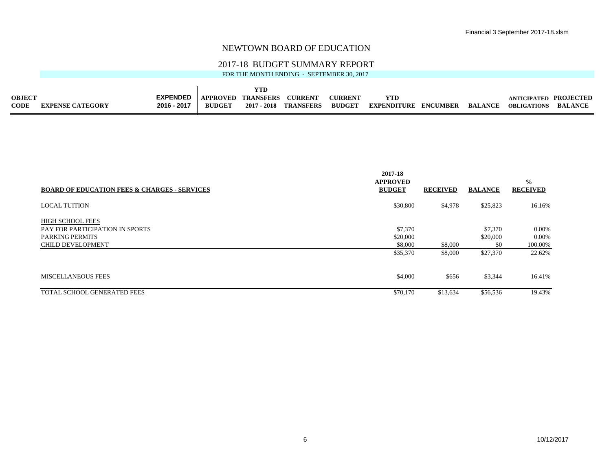#### 2017-18 BUDGET SUMMARY REPORT

FOR THE MONTH ENDING - SEPTEMBER 30, 2017

 $\mathbf{r}$ 

| <b>OBJECT</b> |                         | <b>EXPENDED</b> | <b>APPROVED</b> | TRANSFERS   | <b>CURRENT</b>   | <b>CURRENT</b> |                    |                 |                |             | PROJECTED      |
|---------------|-------------------------|-----------------|-----------------|-------------|------------------|----------------|--------------------|-----------------|----------------|-------------|----------------|
| <b>CODE</b>   | <b>EXPENSE CATEGORY</b> | 2016 - 2017     | <b>RUDGET</b>   | 2017 - 2018 | <b>TRANSFERS</b> | <b>BUDGET</b>  | <b>EXPENDITURE</b> | <b>ENCUMBER</b> | <b>RALANCE</b> | OBLIGATIONS | <b>BALANCE</b> |

|                                                         | 2017-18<br><b>APPROVED</b> |                 |                | $\frac{0}{0}$   |
|---------------------------------------------------------|----------------------------|-----------------|----------------|-----------------|
| <b>BOARD OF EDUCATION FEES &amp; CHARGES - SERVICES</b> | <b>BUDGET</b>              | <b>RECEIVED</b> | <b>BALANCE</b> | <b>RECEIVED</b> |
| <b>LOCAL TUITION</b>                                    | \$30,800                   | \$4,978         | \$25,823       | 16.16%          |
| <b>HIGH SCHOOL FEES</b>                                 |                            |                 |                |                 |
| <b>PAY FOR PARTICIPATION IN SPORTS</b>                  | \$7,370                    |                 | \$7,370        | $0.00\%$        |
| <b>PARKING PERMITS</b>                                  | \$20,000                   |                 | \$20,000       | $0.00\%$        |
| <b>CHILD DEVELOPMENT</b>                                | \$8,000                    | \$8,000         | \$0            | 100.00%         |
|                                                         | \$35,370                   | \$8,000         | \$27,370       | 22.62%          |
| MISCELLANEOUS FEES                                      | \$4,000                    | \$656           | \$3,344        | 16.41%          |
| <b>TOTAL SCHOOL GENERATED FEES</b>                      | \$70,170                   | \$13,634        | \$56,536       | 19.43%          |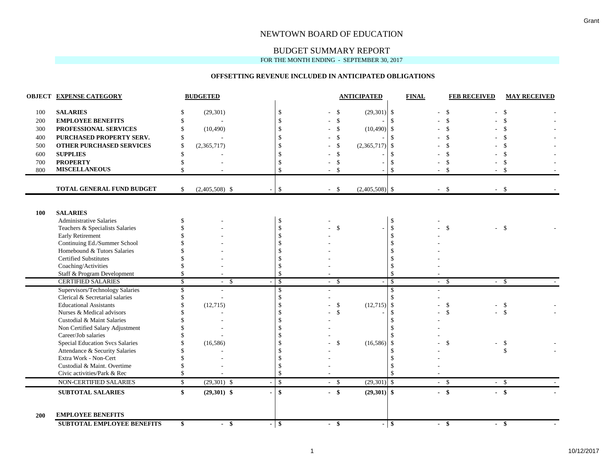## BUDGET SUMMARY REPORT

FOR THE MONTH ENDING - SEPTEMBER 30, 2017

#### **OFFSETTING REVENUE INCLUDED IN ANTICIPATED OBLIGATIONS**

|            | <b>OBJECT EXPENSE CATEGORY</b>                                |                          | <b>BUDGETED</b>  |                |                    |        |               | <b>ANTICIPATED</b> |               | <b>FINAL</b> | <b>FEB RECEIVED</b> | <b>MAY RECEIVED</b>            |
|------------|---------------------------------------------------------------|--------------------------|------------------|----------------|--------------------|--------|---------------|--------------------|---------------|--------------|---------------------|--------------------------------|
| 100        | <b>SALARIES</b>                                               | S.                       | (29, 301)        |                | \$                 |        | <sup>\$</sup> | $(29,301)$ \$      |               |              | $\mathbf{\$}$       | \$                             |
| 200        | <b>EMPLOYEE BENEFITS</b>                                      | \$                       |                  |                | $\mathbf{\hat{S}}$ |        | $\mathbf{s}$  |                    | $\mathbf{s}$  |              | \$                  |                                |
| 300        | PROFESSIONAL SERVICES                                         | \$                       | (10, 490)        |                | \$                 |        | $\mathbf{\$}$ | (10, 490)          | \$            |              |                     |                                |
| 400        | PURCHASED PROPERTY SERV.                                      | -\$                      |                  |                | $\mathbf{\hat{S}}$ |        | $\mathbf{\$}$ |                    | $\mathcal{S}$ |              |                     |                                |
| 500        | <b>OTHER PURCHASED SERVICES</b>                               | $\mathcal{S}$            | (2,365,717)      |                | <sup>\$</sup>      |        | $\mathbf{\$}$ | (2,365,717)        | -\$           |              | $\mathcal{S}$       |                                |
| 600        | <b>SUPPLIES</b>                                               | \$.                      |                  |                |                    |        | \$            |                    | -\$           |              |                     |                                |
| 700        | <b>PROPERTY</b>                                               | \$.                      |                  |                | \$                 |        | $\mathbf{\$}$ |                    | $\mathcal{S}$ |              | \$                  | \$                             |
| 800        | <b>MISCELLANEOUS</b>                                          | \$                       |                  |                | $\mathbf{\hat{s}}$ |        | -\$           |                    | $\mathcal{S}$ |              | - \$                | -\$                            |
|            | TOTAL GENERAL FUND BUDGET                                     | S.                       | $(2,405,508)$ \$ |                | $\mathbb{S}$       | $-5$   |               | $(2,405,508)$ \$   |               | $-$ \$       | $-$ \$              |                                |
|            |                                                               |                          |                  |                |                    |        |               |                    |               |              |                     |                                |
| 100        | <b>SALARIES</b>                                               |                          |                  |                |                    |        |               |                    |               |              |                     |                                |
|            | <b>Administrative Salaries</b>                                | \$                       |                  |                | \$                 |        |               |                    | $\mathcal{S}$ |              |                     |                                |
|            | Teachers & Specialists Salaries                               |                          |                  |                | \$                 |        | $\mathbf{s}$  |                    | \$            |              | \$                  | - \$                           |
|            | Early Retirement                                              |                          |                  |                | \$                 |        |               |                    | <sup>\$</sup> |              |                     |                                |
|            | Continuing Ed./Summer School                                  |                          |                  |                | $\mathcal{S}$      |        |               |                    |               |              |                     |                                |
|            | Homebound & Tutors Salaries                                   |                          |                  |                |                    |        |               |                    |               |              |                     |                                |
|            | <b>Certified Substitutes</b>                                  |                          |                  |                |                    |        |               |                    |               |              |                     |                                |
|            | Coaching/Activities                                           |                          |                  |                | \$                 |        |               |                    |               |              |                     |                                |
|            | Staff & Program Development                                   | \$                       |                  |                | $\mathbf{\hat{S}}$ |        |               |                    | <sup>\$</sup> |              |                     |                                |
|            | <b>CERTIFIED SALARIES</b>                                     | $\overline{\mathcal{S}}$ | - \$<br>$\sim$   |                | $\mathcal{S}$      | $-$ \$ |               | ٠                  | $\mathcal{S}$ | $-$ \$       | $-$ \$              |                                |
|            | Supervisors/Technology Salaries                               | \$                       |                  |                | \$                 |        |               |                    | \$            |              |                     |                                |
|            | Clerical & Secretarial salaries                               |                          | $\sim$           |                | \$                 |        |               |                    |               |              |                     |                                |
|            | <b>Educational Assistants</b>                                 |                          | (12,715)         |                | \$                 |        | \$<br>\$      | $(12,715)$ \$      |               |              | \$<br>$\mathcal{S}$ | $\mathcal{S}$<br>$\mathcal{S}$ |
|            | Nurses & Medical advisors<br>Custodial & Maint Salaries       |                          |                  |                | \$<br>\$           |        |               |                    | \$            |              |                     |                                |
|            | Non Certified Salary Adjustment                               |                          |                  |                | $\mathbf{\hat{s}}$ |        |               |                    |               |              |                     |                                |
|            | Career/Job salaries                                           |                          |                  |                | \$                 |        |               |                    |               |              |                     |                                |
|            | <b>Special Education Svcs Salaries</b>                        |                          | (16, 586)        |                |                    |        | \$            | (16, 586)          | \$            |              | \$                  | -\$                            |
|            | Attendance & Security Salaries                                |                          |                  |                |                    |        |               |                    |               |              |                     | \$                             |
|            | Extra Work - Non-Cert                                         |                          |                  |                | \$.                |        |               |                    |               |              |                     |                                |
|            | Custodial & Maint. Overtime                                   |                          |                  |                | <sup>\$</sup>      |        |               |                    |               |              |                     |                                |
|            | Civic activities/Park & Rec                                   | \$                       |                  |                | $\mathcal{S}$      |        |               |                    | $\mathcal{S}$ |              |                     |                                |
|            | NON-CERTIFIED SALARIES                                        | $\mathbb{S}$             | $(29,301)$ \$    |                | $\sqrt{3}$         | $-5$   |               | $(29,301)$ \$      |               | $-$ \$       | $-$ \$              |                                |
|            | <b>SUBTOTAL SALARIES</b>                                      | \$                       | $(29,301)$ \$    |                | $\mathbf{s}$       | $-$ \$ |               | $(29,301)$ \$      |               | $-$ \$       | $-$ \$              |                                |
| <b>200</b> | <b>EMPLOYEE BENEFITS</b><br><b>SUBTOTAL EMPLOYEE BENEFITS</b> | \$                       | - \$<br>$\sim$   | $\blacksquare$ | Γ\$                | $-$ \$ |               | $\sim$             | $\frac{1}{2}$ | $-$ \$       | $-$ \$              |                                |
|            |                                                               |                          |                  |                |                    |        |               |                    |               |              |                     |                                |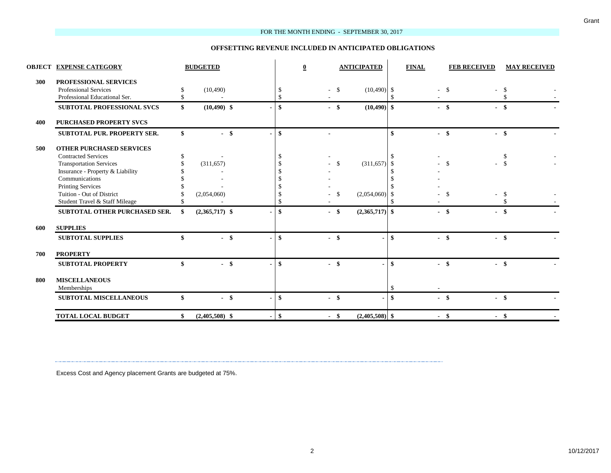#### FOR THE MONTH ENDING - SEPTEMBER 30, 2017

#### **OFFSETTING REVENUE INCLUDED IN ANTICIPATED OBLIGATIONS**

|     | <b>OBJECT EXPENSE CATEGORY</b>      |     | <b>BUDGETED</b>  |    | $\bf{0}$      |    | <b>ANTICIPATED</b> |                    | <b>FINAL</b>   | <b>FEB RECEIVED</b> | <b>MAY RECEIVED</b> |
|-----|-------------------------------------|-----|------------------|----|---------------|----|--------------------|--------------------|----------------|---------------------|---------------------|
| 300 | PROFESSIONAL SERVICES               |     |                  |    |               |    |                    |                    |                |                     |                     |
|     | <b>Professional Services</b>        | S   | (10, 490)        |    | \$            |    | $(10,490)$ \$      |                    | $\overline{a}$ | $\mathbb{S}$        | \$                  |
|     | Professional Educational Ser.       |     |                  |    |               |    |                    |                    |                |                     |                     |
|     | SUBTOTAL PROFESSIONAL SVCS          | \$  | $(10,490)$ \$    |    | $-$ \$        |    | $(10, 490)$ \$     |                    |                | $-$ \$              | $-$ \$              |
| 400 | <b>PURCHASED PROPERTY SVCS</b>      |     |                  |    |               |    |                    |                    |                |                     |                     |
|     | <b>SUBTOTAL PUR. PROPERTY SER.</b>  | \$  | $-$ \$           | \$ |               |    |                    | $\mathbf{\hat{S}}$ |                | $-$ \$              | $-$ \$              |
| 500 | <b>OTHER PURCHASED SERVICES</b>     |     |                  |    |               |    |                    |                    |                |                     |                     |
|     | <b>Contracted Services</b>          | \$  |                  |    |               |    |                    |                    |                |                     | S                   |
|     | <b>Transportation Services</b>      |     | (311, 657)       |    |               | -S | $(311,657)$ \$     |                    |                | $\mathcal{S}$       | $\mathcal{S}$       |
|     | Insurance - Property & Liability    |     |                  |    |               |    |                    |                    |                |                     |                     |
|     | Communications                      |     |                  |    |               |    |                    |                    |                |                     |                     |
|     | <b>Printing Services</b>            |     |                  |    |               |    |                    |                    |                |                     |                     |
|     | Tuition - Out of District           |     | (2,054,060)      |    |               | -S | (2,054,060)        | -\$                |                |                     | \$                  |
|     | Student Travel & Staff Mileage      |     |                  |    |               |    |                    |                    |                |                     |                     |
|     | SUBTOTAL OTHER PURCHASED SER.       | -\$ | $(2,365,717)$ \$ | \$ | $-$ \$        |    | $(2,365,717)$ \$   |                    |                | $-$ \$              | $-$ \$              |
| 600 | <b>SUPPLIES</b>                     |     |                  |    |               |    |                    |                    |                |                     |                     |
|     | <b>SUBTOTAL SUPPLIES</b>            | \$  | $-$ \$           |    | $-$ \$        |    |                    | $\mathbf{\hat{s}}$ | $-$ \$         |                     | $-$ \$              |
| 700 | <b>PROPERTY</b>                     |     |                  |    |               |    |                    |                    |                |                     |                     |
|     | <b>SUBTOTAL PROPERTY</b>            | \$  | $-$ \$           | \$ | $-$ \$        |    |                    | \$                 | $-$ \$         |                     | $-$ \$              |
| 800 | <b>MISCELLANEOUS</b><br>Memberships |     |                  |    |               |    |                    |                    |                |                     |                     |
|     | <b>SUBTOTAL MISCELLANEOUS</b>       | \$  | $-$ \$           | \$ | -\$<br>$\sim$ |    |                    | \$                 |                | $-$ \$              | $-$ \$              |
|     | <b>TOTAL LOCAL BUDGET</b>           | \$  | $(2,405,508)$ \$ | \$ | - \$          |    | $(2,405,508)$ \$   |                    | - \$           |                     | $-$ \$              |

Excess Cost and Agency placement Grants are budgeted at 75%.